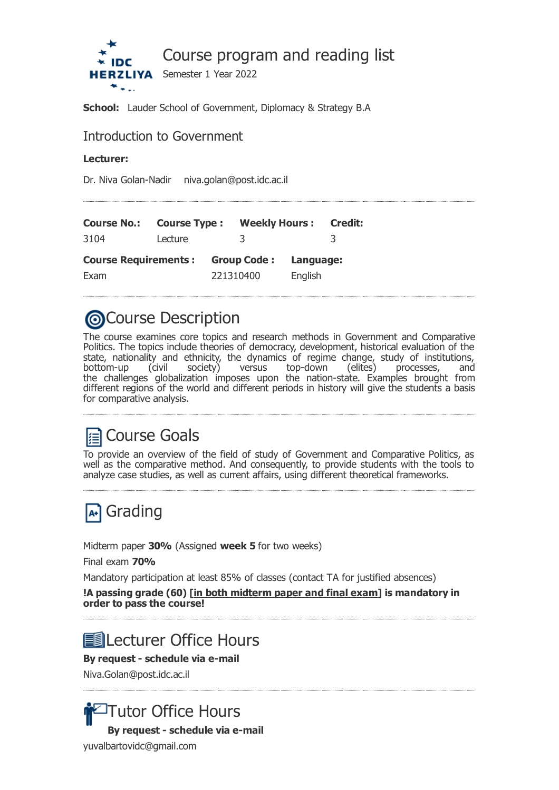

**School:** Lauder School of Government, Diplomacy & Strategy B.A

# Introduction to Government

## **Lecturer:**

Dr. Niva Golan-Nadir niva.golan@post.idc.ac.il

| <b>Course No.:</b>          | <b>Course Type:</b> |           | <b>Weekly Hours: Credit:</b> |           |  |
|-----------------------------|---------------------|-----------|------------------------------|-----------|--|
| 3104                        | Lecture             |           | 3                            |           |  |
| <b>Course Requirements:</b> |                     |           | <b>Group Code:</b>           | Language: |  |
| Exam                        |                     | 221310400 |                              | English   |  |

# **@Course Description**

The course examines core topics and research methods in Government and Comparative Politics. The topics include theories of democracy, development, historical evaluation of the state, nationality and ethnicity, the dynamics of regime change, study of institutions, bottom-up (civil society) versus top-down (elites) processes, and the challenges globalization imposes upon the nation-state. Examples brought from different regions of the world and different periods in history will give the students a basis for comparative analysis.

# **■ Course Goals**

To provide an overview of the field of study of Government and Comparative Politics, as well as the comparative method. And consequently, to provide students with the tools to analyze case studies, as well as current affairs, using different theoretical frameworks.



Midterm paper **30%** (Assigned **week 5** for two weeks)

Final exam **70%**

Mandatory participation at least 85% of classes (contact TA for justified absences)

**!A passing grade (60) [in both midterm paper and final exam] is mandatory in order to pass the course!**

# **■ Lecturer Office Hours**

# **By request - schedule via e-mail**

Niva.Golan@post.idc.ac.il



yuvalbartovidc@gmail.com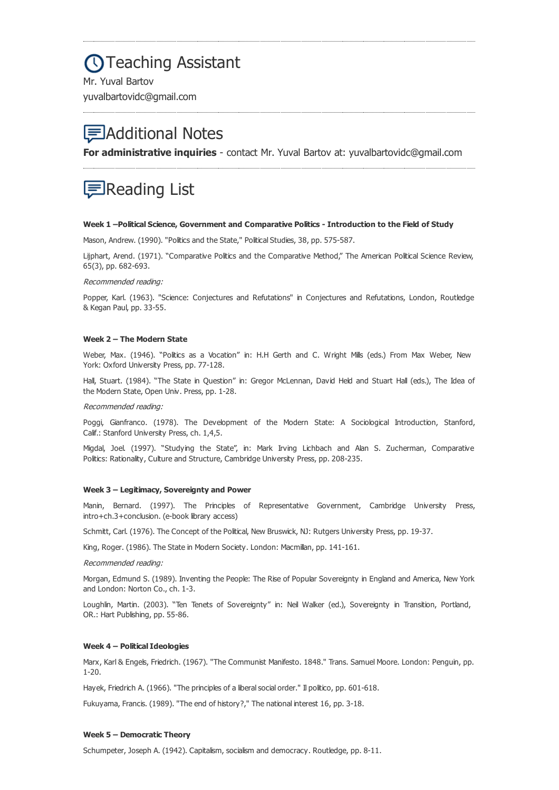# **OTeaching Assistant**

Mr. Yuval Bartov yuvalbartovidc@gmail.com

# Additional Notes

**For administrative inquiries** - contact Mr. Yuval Bartov at: yuvalbartovidc@gmail.com

# Reading List

#### **Week 1 –Political Science, Government and Comparative Politics - Introduction to the Field of Study**

Mason, Andrew. (1990). "Politics and the State," Political Studies, 38, pp. 575-587.

Lijphart, Arend. (1971). "Comparative Politics and the Comparative Method," The American Political Science Review, 65(3), pp. 682-693.

### Recommended reading:

Popper, Karl. (1963). "Science: Conjectures and Refutations" in Conjectures and Refutations, London, Routledge & Kegan Paul, pp. 33-55.

#### **Week 2 – The Modern State**

Weber, Max. (1946). "Politics as a Vocation" in: H.H Gerth and C. Wright Mills (eds.) From Max Weber, New York: Oxford University Press, pp. 77-128.

Hall, Stuart. (1984). "The State in Question" in: Gregor McLennan, David Held and Stuart Hall (eds.), The Idea of the Modern State, Open Univ. Press, pp. 1-28.

#### Recommended reading:

Poggi, Gianfranco. (1978). The Development of the Modern State: A Sociological Introduction, Stanford, Calif.: Stanford University Press, ch. 1,4,5.

Migdal, Joel. (1997). "Studying the State", in: Mark Irving Lichbach and Alan S. Zucherman, Comparative Politics: Rationality, Culture and Structure, Cambridge University Press, pp. 208-235.

#### **Week 3 – Legitimacy, Sovereignty and Power**

Manin, Bernard. (1997). The Principles of Representative Government, Cambridge University Press, intro+ch.3+conclusion. (e-book library access)

Schmitt, Carl. (1976). The Concept of the Political, New Bruswick, NJ: Rutgers University Press, pp. 19-37.

King, Roger. (1986). The State in Modern Society. London: Macmillan, pp. 141-161.

#### Recommended reading:

Morgan, Edmund S. (1989). Inventing the People: The Rise of Popular Sovereignty in England and America, New York and London: Norton Co., ch. 1-3.

Loughlin, Martin. (2003). "Ten Tenets of Sovereignty" in: Neil Walker (ed.), Sovereignty in Transition, Portland, OR.: Hart Publishing, pp. 55-86.

#### **Week 4 – Political Ideologies**

Marx, Karl & Engels, Friedrich. (1967). "The Communist Manifesto. 1848." Trans. Samuel Moore. London: Penguin, pp. 1-20.

Hayek, Friedrich A. (1966). "The principles of a liberal social order." Il politico, pp. 601-618.

Fukuyama, Francis. (1989). "The end of history?," The national interest 16, pp. 3-18.

#### **Week 5 – Democratic Theory**

Schumpeter, Joseph A. (1942). Capitalism, socialism and democracy. Routledge, pp. 8-11.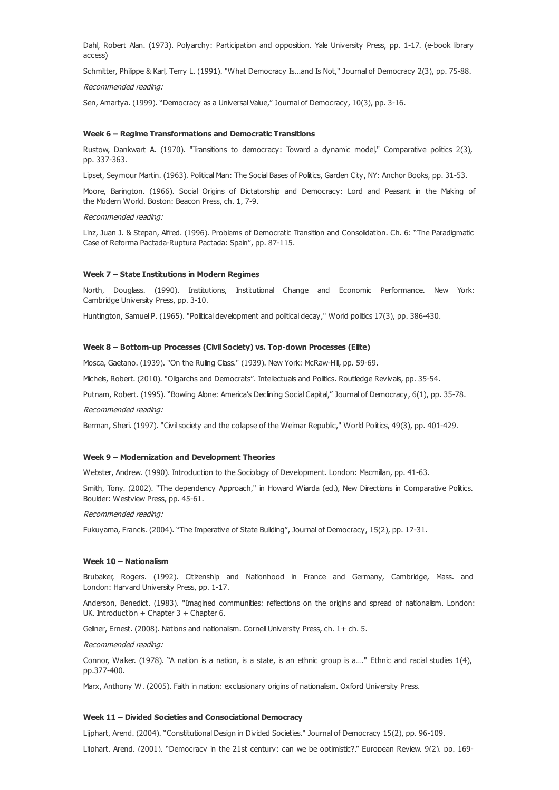Dahl, Robert Alan. (1973). Polyarchy: Participation and opposition. Yale University Press, pp. 1-17. (e-book library access)

Schmitter, Philippe & Karl, Terry L. (1991). "What Democracy Is...and Is Not," Journal of Democracy 2(3), pp. 75-88.

## Recommended reading:

Sen, Amartya. (1999). "Democracy as a Universal Value," Journal of Democracy, 10(3), pp. 3-16.

#### **Week 6 – Regime Transformations and Democratic Transitions**

Rustow, Dankwart A. (1970). "Transitions to democracy: Toward a dynamic model," Comparative politics 2(3), pp. 337-363.

Lipset, Seymour Martin. (1963). Political Man: The Social Bases of Politics, Garden City, NY: Anchor Books, pp. 31-53.

Moore, Barington. (1966). Social Origins of Dictatorship and Democracy: Lord and Peasant in the Making of the Modern World. Boston: Beacon Press, ch. 1, 7-9.

#### Recommended reading:

Linz, Juan J. & Stepan, Alfred. (1996). Problems of Democratic Transition and Consolidation. Ch. 6: "The Paradigmatic Case of Reforma Pactada-Ruptura Pactada: Spain", pp. 87-115.

### **Week 7 – State Institutions in Modern Regimes**

North, Douglass. (1990). Institutions, Institutional Change and Economic Performance. New York: Cambridge University Press, pp. 3-10.

Huntington, Samuel P. (1965). "Political development and political decay," World politics 17(3), pp. 386-430.

### **Week 8 – Bottom-up Processes (Civil Society) vs. Top-down Processes (Elite)**

Mosca, Gaetano. (1939). "On the Ruling Class." (1939). New York: McRaw-Hill, pp. 59-69.

Michels, Robert. (2010). "Oligarchs and Democrats". Intellectuals and Politics. Routledge Revivals, pp. 35-54.

Putnam, Robert. (1995). "Bowling Alone: America's Declining Social Capital," Journal of Democracy, 6(1), pp. 35-78.

Recommended reading:

Berman, Sheri. (1997). "Civil society and the collapse of the Weimar Republic," World Politics, 49(3), pp. 401-429.

#### **Week 9 – Modernization and Development Theories**

Webster, Andrew. (1990). Introduction to the Sociology of Development. London: Macmillan, pp. 41-63.

Smith, Tony. (2002). "The dependency Approach," in Howard Wiarda (ed.), New Directions in Comparative Politics. Boulder: Westview Press, pp. 45-61.

Recommended reading:

Fukuyama, Francis. (2004). "The Imperative of State Building", Journal of Democracy, 15(2), pp. 17-31.

## **Week 10 – Nationalism**

Brubaker, Rogers. (1992). Citizenship and Nationhood in France and Germany, Cambridge, Mass. and London: Harvard University Press, pp. 1-17.

Anderson, Benedict. (1983). "Imagined communities: reflections on the origins and spread of nationalism. London: UK. Introduction  $+$  Chapter 3  $+$  Chapter 6.

Gellner, Ernest. (2008). Nations and nationalism. Cornell University Press, ch. 1+ ch. 5.

Recommended reading:

Connor, Walker. (1978). "A nation is a nation, is a state, is an ethnic group is a...." Ethnic and racial studies 1(4), pp.377-400.

Marx, Anthony W. (2005). Faith in nation: exclusionary origins of nationalism. Oxford University Press.

#### **Week 11 – Divided Societies and Consociational Democracy**

Lijphart, Arend. (2004). "Constitutional Design in Divided Societies." Journal of Democracy 15(2), pp. 96-109.

Liiphart, Arend. (2001). "Democracy in the 21st century: can we be optimistic?," European Review, 9(2), pp. 169-